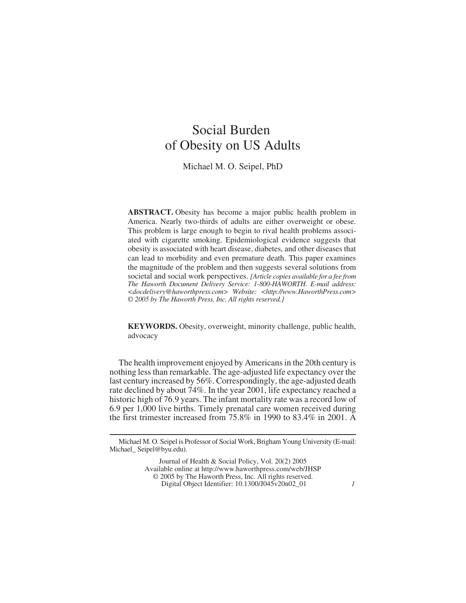# Social Burden of Obesity on US Adults

Michael M. O. Seipel, PhD

**ABSTRACT.** Obesity has become a major public health problem in America. Nearly two-thirds of adults are either overweight or obese. This problem is large enough to begin to rival health problems associated with cigarette smoking. Epidemiological evidence suggests that obesity is associated with heart disease, diabetes, and other diseases that can lead to morbidity and even premature death. This paper examines the magnitude of the problem and then suggests several solutions from societal and social work perspectives. *[Article copies available for a fee from The Haworth Document Delivery Service: 1-800-HAWORTH. E-mail address: <docdelivery@haworthpress.com> Website: [<http://www.HaworthPress.com>](http://www.HaworthPress.com) © 2005 by The Haworth Press, Inc. All rights reserved.]*

**KEYWORDS.** Obesity, overweight, minority challenge, public health, advocacy

The health improvement enjoyed by Americans in the 20th century is nothing less than remarkable. The age-adjusted life expectancy over the last century increased by 56%. Correspondingly, the age-adjusted death rate declined by about 74%. In the year 2001, life expectancy reached a historic high of 76.9 years. The infant mortality rate was a record low of 6.9 per 1,000 live births. Timely prenatal care women received during the first trimester increased from 75.8% in 1990 to 83.4% in 2001. A

Michael M. O. Seipel is Professor of Social Work, Brigham Young University (E-mail: Michael\_ Seipel@byu.edu).

Journal of Health & Social Policy, Vol. 20(2) 2005 Available online at <http://www.haworthpress.com/web/JHSP> © 2005 by The Haworth Press, Inc. All rights reserved. Digital Object Identifier: 10.1300/J045v20n02\_01 *1*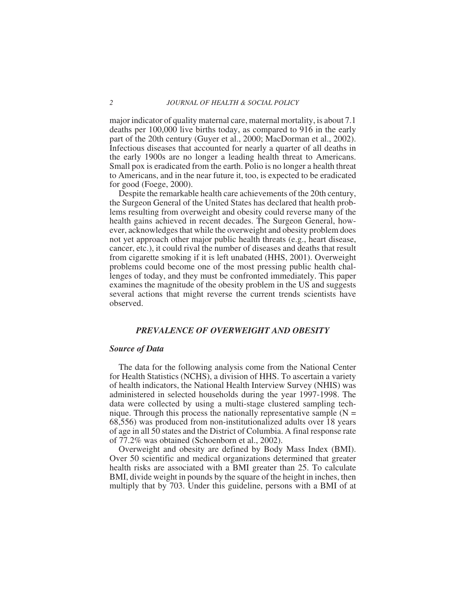major indicator of quality maternal care, maternal mortality, is about 7.1 deaths per 100,000 live births today, as compared to 916 in the early part of the 20th century (Guyer et al., 2000; MacDorman et al., 2002). Infectious diseases that accounted for nearly a quarter of all deaths in the early 1900s are no longer a leading health threat to Americans. Small pox is eradicated from the earth. Polio is no longer a health threat to Americans, and in the near future it, too, is expected to be eradicated for good (Foege, 2000).

Despite the remarkable health care achievements of the 20th century, the Surgeon General of the United States has declared that health problems resulting from overweight and obesity could reverse many of the health gains achieved in recent decades. The Surgeon General, however, acknowledges that while the overweight and obesity problem does not yet approach other major public health threats (e.g., heart disease, cancer, etc.), it could rival the number of diseases and deaths that result from cigarette smoking if it is left unabated (HHS, 2001). Overweight problems could become one of the most pressing public health challenges of today, and they must be confronted immediately. This paper examines the magnitude of the obesity problem in the US and suggests several actions that might reverse the current trends scientists have observed.

# *PREVALENCE OF OVERWEIGHT AND OBESITY*

#### *Source of Data*

The data for the following analysis come from the National Center for Health Statistics (NCHS), a division of HHS. To ascertain a variety of health indicators, the National Health Interview Survey (NHIS) was administered in selected households during the year 1997-1998. The data were collected by using a multi-stage clustered sampling technique. Through this process the nationally representative sample  $(N =$ 68,556) was produced from non-institutionalized adults over 18 years of age in all 50 states and the District of Columbia. A final response rate of 77.2% was obtained (Schoenborn et al., 2002).

Overweight and obesity are defined by Body Mass Index (BMI). Over 50 scientific and medical organizations determined that greater health risks are associated with a BMI greater than 25. To calculate BMI, divide weight in pounds by the square of the height in inches, then multiply that by 703. Under this guideline, persons with a BMI of at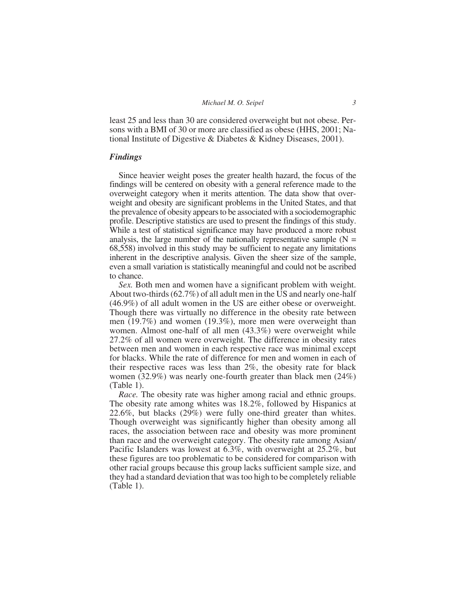least 25 and less than 30 are considered overweight but not obese. Persons with a BMI of 30 or more are classified as obese (HHS, 2001; National Institute of Digestive & Diabetes & Kidney Diseases, 2001).

#### *Findings*

Since heavier weight poses the greater health hazard, the focus of the findings will be centered on obesity with a general reference made to the overweight category when it merits attention. The data show that overweight and obesity are significant problems in the United States, and that the prevalence of obesity appears to be associated with a sociodemographic profile. Descriptive statistics are used to present the findings of this study. While a test of statistical significance may have produced a more robust analysis, the large number of the nationally representative sample  $(N =$ 68,558) involved in this study may be sufficient to negate any limitations inherent in the descriptive analysis. Given the sheer size of the sample, even a small variation is statistically meaningful and could not be ascribed to chance.

*Sex.* Both men and women have a significant problem with weight. About two-thirds (62.7%) of all adult men in the US and nearly one-half (46.9%) of all adult women in the US are either obese or overweight. Though there was virtually no difference in the obesity rate between men (19.7%) and women (19.3%), more men were overweight than women. Almost one-half of all men (43.3%) were overweight while 27.2% of all women were overweight. The difference in obesity rates between men and women in each respective race was minimal except for blacks. While the rate of difference for men and women in each of their respective races was less than 2%, the obesity rate for black women (32.9%) was nearly one-fourth greater than black men (24%) (Table 1).

*Race.* The obesity rate was higher among racial and ethnic groups. The obesity rate among whites was 18.2%, followed by Hispanics at 22.6%, but blacks (29%) were fully one-third greater than whites. Though overweight was significantly higher than obesity among all races, the association between race and obesity was more prominent than race and the overweight category. The obesity rate among Asian/ Pacific Islanders was lowest at 6.3%, with overweight at 25.2%, but these figures are too problematic to be considered for comparison with other racial groups because this group lacks sufficient sample size, and they had a standard deviation that was too high to be completely reliable (Table 1).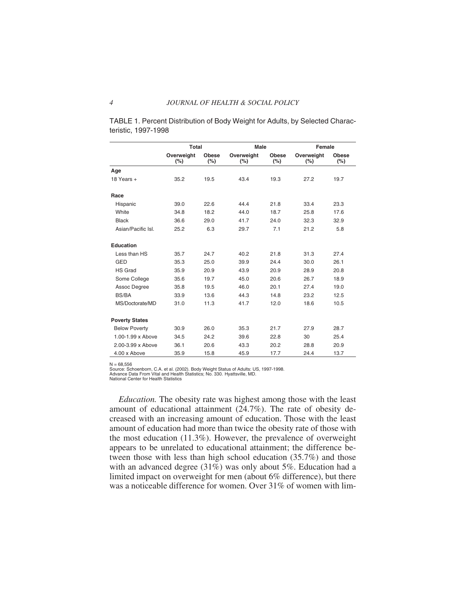|                       | Total                 |                     | Male              |                     | Female                |                         |
|-----------------------|-----------------------|---------------------|-------------------|---------------------|-----------------------|-------------------------|
|                       | Overweight<br>$(\% )$ | <b>Obese</b><br>(%) | Overweight<br>(%) | <b>Obese</b><br>(%) | Overweight<br>$(\% )$ | <b>Obese</b><br>$(\% )$ |
| Age                   |                       |                     |                   |                     |                       |                         |
| 18 Years $+$          | 35.2                  | 19.5                | 43.4              | 19.3                | 27.2                  | 19.7                    |
| Race                  |                       |                     |                   |                     |                       |                         |
| Hispanic              | 39.0                  | 22.6                | 44.4              | 21.8                | 33.4                  | 23.3                    |
| White                 | 34.8                  | 18.2                | 44.0              | 18.7                | 25.8                  | 17.6                    |
| <b>Black</b>          | 36.6                  | 29.0                | 41.7              | 24.0                | 32.3                  | 32.9                    |
| Asian/Pacific Isl.    | 25.2                  | 6.3                 | 29.7              | 7.1                 | 21.2                  | 5.8                     |
| Education             |                       |                     |                   |                     |                       |                         |
| Less than HS          | 35.7                  | 24.7                | 40.2              | 21.8                | 31.3                  | 27.4                    |
| GED                   | 35.3                  | 25.0                | 39.9              | 24.4                | 30.0                  | 26.1                    |
| <b>HS Grad</b>        | 35.9                  | 20.9                | 43.9              | 20.9                | 28.9                  | 20.8                    |
| Some College          | 35.6                  | 19.7                | 45.0              | 20.6                | 26.7                  | 18.9                    |
| Assoc Degree          | 35.8                  | 19.5                | 46.0              | 20.1                | 27.4                  | 19.0                    |
| <b>BS/BA</b>          | 33.9                  | 13.6                | 44.3              | 14.8                | 23.2                  | 12.5                    |
| MS/Doctorate/MD       | 31.0                  | 11.3                | 41.7              | 12.0                | 18.6                  | 10.5                    |
| <b>Poverty States</b> |                       |                     |                   |                     |                       |                         |
| <b>Below Poverty</b>  | 30.9                  | 26.0                | 35.3              | 21.7                | 27.9                  | 28.7                    |
| 1.00-1.99 x Above     | 34.5                  | 24.2                | 39.6              | 22.8                | 30                    | 25.4                    |
| 2.00-3.99 x Above     | 36.1                  | 20.6                | 43.3              | 20.2                | 28.8                  | 20.9                    |
| 4.00 x Above          | 35.9                  | 15.8                | 45.9              | 17.7                | 24.4                  | 13.7                    |

TABLE 1. Percent Distribution of Body Weight for Adults, by Selected Characteristic, 1997-1998

 $N = 68.556$ 

Source: Schoenborn, C.A. et al. (2002). Body Weight Status of Adults: US, 1997-1998.<br>Advance Data From Vital and Health Statistics; No. 330. Hyattsville, MD.<br>National Center for Health Statistics

*Education.* The obesity rate was highest among those with the least amount of educational attainment (24.7%). The rate of obesity decreased with an increasing amount of education. Those with the least amount of education had more than twice the obesity rate of those with the most education (11.3%). However, the prevalence of overweight appears to be unrelated to educational attainment; the difference between those with less than high school education (35.7%) and those with an advanced degree (31%) was only about 5%. Education had a limited impact on overweight for men (about 6% difference), but there was a noticeable difference for women. Over 31% of women with lim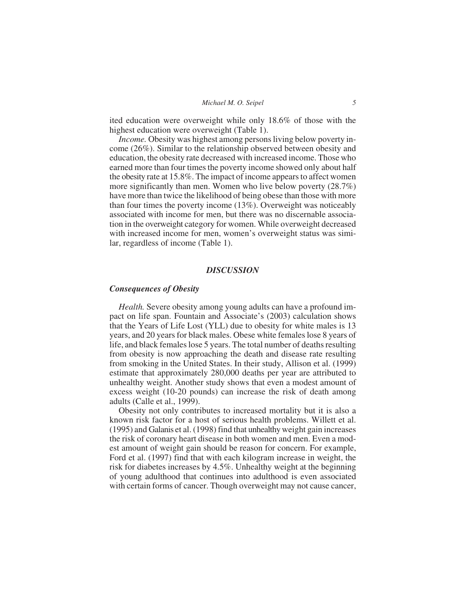ited education were overweight while only 18.6% of those with the highest education were overweight (Table 1).

*Income.* Obesity was highest among persons living below poverty income (26%). Similar to the relationship observed between obesity and education, the obesity rate decreased with increased income. Those who earned more than four times the poverty income showed only about half the obesity rate at 15.8%. The impact of income appears to affect women more significantly than men. Women who live below poverty (28.7%) have more than twice the likelihood of being obese than those with more than four times the poverty income (13%). Overweight was noticeably associated with income for men, but there was no discernable association in the overweight category for women. While overweight decreased with increased income for men, women's overweight status was similar, regardless of income (Table 1).

## *DISCUSSION*

#### *Consequences of Obesity*

*Health.* Severe obesity among young adults can have a profound impact on life span. Fountain and Associate's (2003) calculation shows that the Years of Life Lost (YLL) due to obesity for white males is 13 years, and 20 years for black males. Obese white females lose 8 years of life, and black females lose 5 years. The total number of deaths resulting from obesity is now approaching the death and disease rate resulting from smoking in the United States. In their study, Allison et al. (1999) estimate that approximately 280,000 deaths per year are attributed to unhealthy weight. Another study shows that even a modest amount of excess weight (10-20 pounds) can increase the risk of death among adults (Calle et al., 1999).

Obesity not only contributes to increased mortality but it is also a known risk factor for a host of serious health problems. Willett et al. (1995) and Galanis et al. (1998) find that unhealthy weight gain increases the risk of coronary heart disease in both women and men. Even a modest amount of weight gain should be reason for concern. For example, Ford et al. (1997) find that with each kilogram increase in weight, the risk for diabetes increases by 4.5%. Unhealthy weight at the beginning of young adulthood that continues into adulthood is even associated with certain forms of cancer. Though overweight may not cause cancer,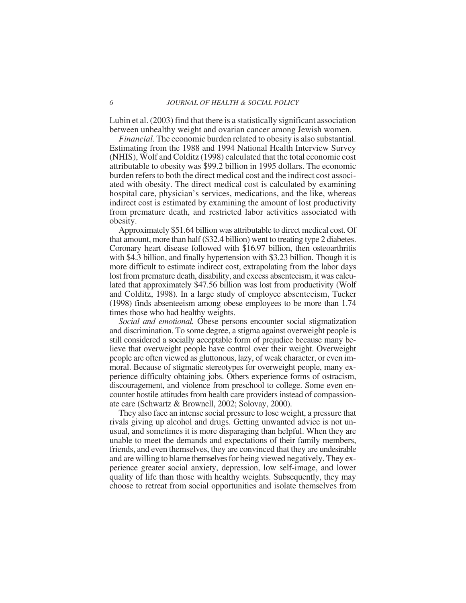Lubin et al. (2003) find that there is a statistically significant association between unhealthy weight and ovarian cancer among Jewish women.

*Financial.* The economic burden related to obesity is also substantial. Estimating from the 1988 and 1994 National Health Interview Survey (NHIS), Wolf and Colditz (1998) calculated that the total economic cost attributable to obesity was \$99.2 billion in 1995 dollars. The economic burden refers to both the direct medical cost and the indirect cost associated with obesity. The direct medical cost is calculated by examining hospital care, physician's services, medications, and the like, whereas indirect cost is estimated by examining the amount of lost productivity from premature death, and restricted labor activities associated with obesity.

Approximately \$51.64 billion was attributable to direct medical cost. Of that amount, more than half (\$32.4 billion) went to treating type 2 diabetes. Coronary heart disease followed with \$16.97 billion, then osteoarthritis with \$4.3 billion, and finally hypertension with \$3.23 billion. Though it is more difficult to estimate indirect cost, extrapolating from the labor days lost from premature death, disability, and excess absenteeism, it was calculated that approximately \$47.56 billion was lost from productivity (Wolf and Colditz, 1998). In a large study of employee absenteeism, Tucker (1998) finds absenteeism among obese employees to be more than 1.74 times those who had healthy weights.

*Social and emotional.* Obese persons encounter social stigmatization and discrimination. To some degree, a stigma against overweight people is still considered a socially acceptable form of prejudice because many believe that overweight people have control over their weight. Overweight people are often viewed as gluttonous, lazy, of weak character, or even immoral. Because of stigmatic stereotypes for overweight people, many experience difficulty obtaining jobs. Others experience forms of ostracism, discouragement, and violence from preschool to college. Some even encounter hostile attitudes from health care providers instead of compassionate care (Schwartz & Brownell, 2002; Solovay, 2000).

They also face an intense social pressure to lose weight, a pressure that rivals giving up alcohol and drugs. Getting unwanted advice is not unusual, and sometimes it is more disparaging than helpful. When they are unable to meet the demands and expectations of their family members, friends, and even themselves, they are convinced that they are undesirable and are willing to blame themselves for being viewed negatively. They experience greater social anxiety, depression, low self-image, and lower quality of life than those with healthy weights. Subsequently, they may choose to retreat from social opportunities and isolate themselves from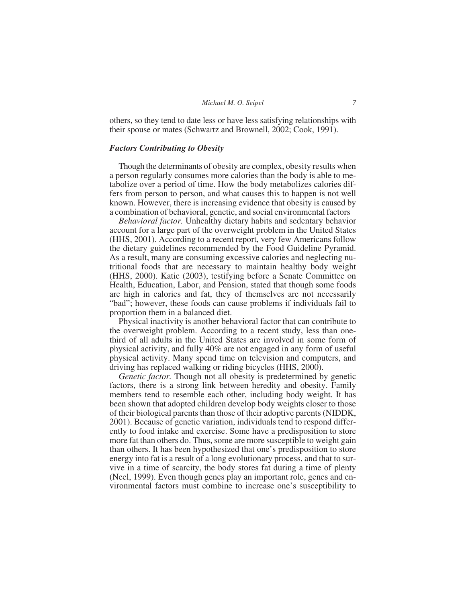others, so they tend to date less or have less satisfying relationships with their spouse or mates (Schwartz and Brownell, 2002; Cook, 1991).

#### *Factors Contributing to Obesity*

Though the determinants of obesity are complex, obesity results when a person regularly consumes more calories than the body is able to metabolize over a period of time. How the body metabolizes calories differs from person to person, and what causes this to happen is not well known. However, there is increasing evidence that obesity is caused by a combination of behavioral, genetic, and social environmental factors

*Behavioral factor.* Unhealthy dietary habits and sedentary behavior account for a large part of the overweight problem in the United States (HHS, 2001). According to a recent report, very few Americans follow the dietary guidelines recommended by the Food Guideline Pyramid. As a result, many are consuming excessive calories and neglecting nutritional foods that are necessary to maintain healthy body weight (HHS, 2000). Katic (2003), testifying before a Senate Committee on Health, Education, Labor, and Pension, stated that though some foods are high in calories and fat, they of themselves are not necessarily "bad"; however, these foods can cause problems if individuals fail to proportion them in a balanced diet.

Physical inactivity is another behavioral factor that can contribute to the overweight problem. According to a recent study, less than onethird of all adults in the United States are involved in some form of physical activity, and fully 40% are not engaged in any form of useful physical activity. Many spend time on television and computers, and driving has replaced walking or riding bicycles (HHS, 2000).

*Genetic factor.* Though not all obesity is predetermined by genetic factors, there is a strong link between heredity and obesity. Family members tend to resemble each other, including body weight. It has been shown that adopted children develop body weights closer to those of their biological parents than those of their adoptive parents (NIDDK, 2001). Because of genetic variation, individuals tend to respond differently to food intake and exercise. Some have a predisposition to store more fat than others do. Thus, some are more susceptible to weight gain than others. It has been hypothesized that one's predisposition to store energy into fat is a result of a long evolutionary process, and that to survive in a time of scarcity, the body stores fat during a time of plenty (Neel, 1999). Even though genes play an important role, genes and environmental factors must combine to increase one's susceptibility to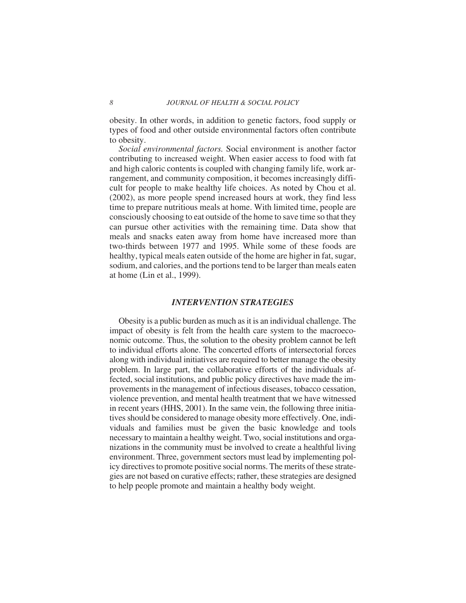obesity. In other words, in addition to genetic factors, food supply or types of food and other outside environmental factors often contribute to obesity.

*Social environmental factors.* Social environment is another factor contributing to increased weight. When easier access to food with fat and high caloric contents is coupled with changing family life, work arrangement, and community composition, it becomes increasingly difficult for people to make healthy life choices. As noted by Chou et al. (2002), as more people spend increased hours at work, they find less time to prepare nutritious meals at home. With limited time, people are consciously choosing to eat outside of the home to save time so that they can pursue other activities with the remaining time. Data show that meals and snacks eaten away from home have increased more than two-thirds between 1977 and 1995. While some of these foods are healthy, typical meals eaten outside of the home are higher in fat, sugar, sodium, and calories, and the portions tend to be larger than meals eaten at home (Lin et al., 1999).

# *INTERVENTION STRATEGIES*

Obesity is a public burden as much as it is an individual challenge. The impact of obesity is felt from the health care system to the macroeconomic outcome. Thus, the solution to the obesity problem cannot be left to individual efforts alone. The concerted efforts of intersectorial forces along with individual initiatives are required to better manage the obesity problem. In large part, the collaborative efforts of the individuals affected, social institutions, and public policy directives have made the improvements in the management of infectious diseases, tobacco cessation, violence prevention, and mental health treatment that we have witnessed in recent years (HHS, 2001). In the same vein, the following three initiatives should be considered to manage obesity more effectively. One, individuals and families must be given the basic knowledge and tools necessary to maintain a healthy weight. Two, social institutions and organizations in the community must be involved to create a healthful living environment. Three, government sectors must lead by implementing policy directives to promote positive social norms. The merits of these strategies are not based on curative effects; rather, these strategies are designed to help people promote and maintain a healthy body weight.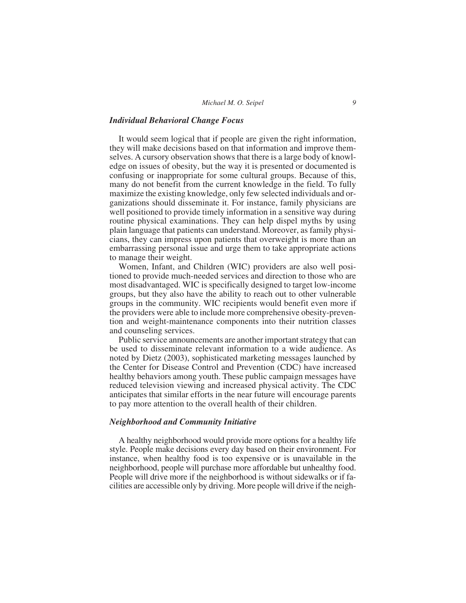# *Individual Behavioral Change Focus*

It would seem logical that if people are given the right information, they will make decisions based on that information and improve themselves. A cursory observation shows that there is a large body of knowledge on issues of obesity, but the way it is presented or documented is confusing or inappropriate for some cultural groups. Because of this, many do not benefit from the current knowledge in the field. To fully maximize the existing knowledge, only few selected individuals and organizations should disseminate it. For instance, family physicians are well positioned to provide timely information in a sensitive way during routine physical examinations. They can help dispel myths by using plain language that patients can understand. Moreover, as family physicians, they can impress upon patients that overweight is more than an embarrassing personal issue and urge them to take appropriate actions to manage their weight.

Women, Infant, and Children (WIC) providers are also well positioned to provide much-needed services and direction to those who are most disadvantaged. WIC is specifically designed to target low-income groups, but they also have the ability to reach out to other vulnerable groups in the community. WIC recipients would benefit even more if the providers were able to include more comprehensive obesity-prevention and weight-maintenance components into their nutrition classes and counseling services.

Public service announcements are another important strategy that can be used to disseminate relevant information to a wide audience. As noted by Dietz (2003), sophisticated marketing messages launched by the Center for Disease Control and Prevention (CDC) have increased healthy behaviors among youth. These public campaign messages have reduced television viewing and increased physical activity. The CDC anticipates that similar efforts in the near future will encourage parents to pay more attention to the overall health of their children.

## *Neighborhood and Community Initiative*

A healthy neighborhood would provide more options for a healthy life style. People make decisions every day based on their environment. For instance, when healthy food is too expensive or is unavailable in the neighborhood, people will purchase more affordable but unhealthy food. People will drive more if the neighborhood is without sidewalks or if facilities are accessible only by driving. More people will drive if the neigh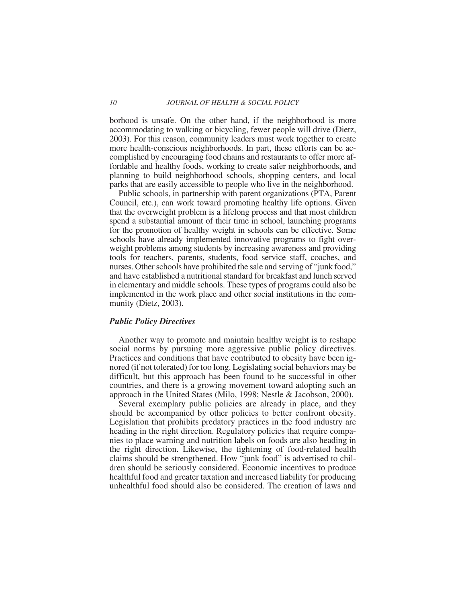borhood is unsafe. On the other hand, if the neighborhood is more accommodating to walking or bicycling, fewer people will drive (Dietz, 2003). For this reason, community leaders must work together to create more health-conscious neighborhoods. In part, these efforts can be accomplished by encouraging food chains and restaurants to offer more affordable and healthy foods, working to create safer neighborhoods, and planning to build neighborhood schools, shopping centers, and local parks that are easily accessible to people who live in the neighborhood.

Public schools, in partnership with parent organizations (PTA, Parent Council, etc.), can work toward promoting healthy life options. Given that the overweight problem is a lifelong process and that most children spend a substantial amount of their time in school, launching programs for the promotion of healthy weight in schools can be effective. Some schools have already implemented innovative programs to fight overweight problems among students by increasing awareness and providing tools for teachers, parents, students, food service staff, coaches, and nurses. Other schools have prohibited the sale and serving of "junk food," and have established a nutritional standard for breakfast and lunch served in elementary and middle schools. These types of programs could also be implemented in the work place and other social institutions in the community (Dietz, 2003).

## *Public Policy Directives*

Another way to promote and maintain healthy weight is to reshape social norms by pursuing more aggressive public policy directives. Practices and conditions that have contributed to obesity have been ignored (if not tolerated) for too long. Legislating social behaviors may be difficult, but this approach has been found to be successful in other countries, and there is a growing movement toward adopting such an approach in the United States (Milo, 1998; Nestle & Jacobson, 2000).

Several exemplary public policies are already in place, and they should be accompanied by other policies to better confront obesity. Legislation that prohibits predatory practices in the food industry are heading in the right direction. Regulatory policies that require companies to place warning and nutrition labels on foods are also heading in the right direction. Likewise, the tightening of food-related health claims should be strengthened. How "junk food" is advertised to children should be seriously considered. Economic incentives to produce healthful food and greater taxation and increased liability for producing unhealthful food should also be considered. The creation of laws and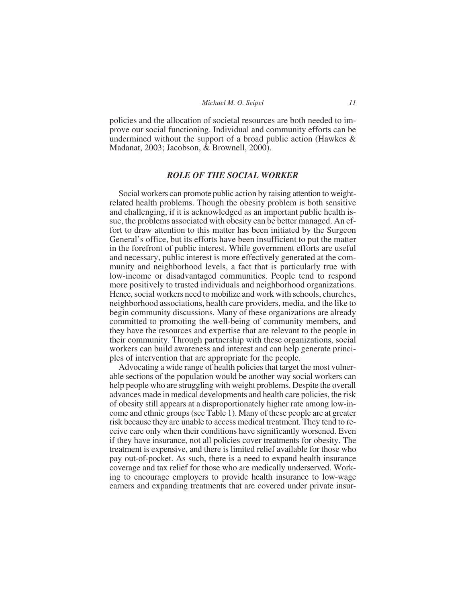policies and the allocation of societal resources are both needed to improve our social functioning. Individual and community efforts can be undermined without the support of a broad public action (Hawkes & Madanat, 2003; Jacobson, & Brownell, 2000).

# *ROLE OF THE SOCIAL WORKER*

Social workers can promote public action by raising attention to weightrelated health problems. Though the obesity problem is both sensitive and challenging, if it is acknowledged as an important public health issue, the problems associated with obesity can be better managed. An effort to draw attention to this matter has been initiated by the Surgeon General's office, but its efforts have been insufficient to put the matter in the forefront of public interest. While government efforts are useful and necessary, public interest is more effectively generated at the community and neighborhood levels, a fact that is particularly true with low-income or disadvantaged communities. People tend to respond more positively to trusted individuals and neighborhood organizations. Hence, social workers need to mobilize and work with schools, churches, neighborhood associations, health care providers, media, and the like to begin community discussions. Many of these organizations are already committed to promoting the well-being of community members, and they have the resources and expertise that are relevant to the people in their community. Through partnership with these organizations, social workers can build awareness and interest and can help generate principles of intervention that are appropriate for the people.

Advocating a wide range of health policies that target the most vulnerable sections of the population would be another way social workers can help people who are struggling with weight problems. Despite the overall advances made in medical developments and health care policies, the risk of obesity still appears at a disproportionately higher rate among low-income and ethnic groups (see Table 1). Many of these people are at greater risk because they are unable to access medical treatment. They tend to receive care only when their conditions have significantly worsened. Even if they have insurance, not all policies cover treatments for obesity. The treatment is expensive, and there is limited relief available for those who pay out-of-pocket. As such, there is a need to expand health insurance coverage and tax relief for those who are medically underserved. Working to encourage employers to provide health insurance to low-wage earners and expanding treatments that are covered under private insur-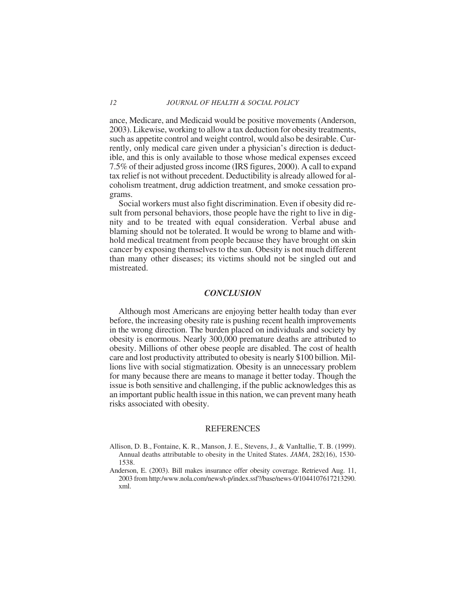ance, Medicare, and Medicaid would be positive movements (Anderson, 2003). Likewise, working to allow a tax deduction for obesity treatments, such as appetite control and weight control, would also be desirable. Currently, only medical care given under a physician's direction is deductible, and this is only available to those whose medical expenses exceed 7.5% of their adjusted gross income (IRS figures, 2000). A call to expand tax relief is not without precedent. Deductibility is already allowed for alcoholism treatment, drug addiction treatment, and smoke cessation programs.

Social workers must also fight discrimination. Even if obesity did result from personal behaviors, those people have the right to live in dignity and to be treated with equal consideration. Verbal abuse and blaming should not be tolerated. It would be wrong to blame and withhold medical treatment from people because they have brought on skin cancer by exposing themselves to the sun. Obesity is not much different than many other diseases; its victims should not be singled out and mistreated.

## *CONCLUSION*

Although most Americans are enjoying better health today than ever before, the increasing obesity rate is pushing recent health improvements in the wrong direction. The burden placed on individuals and society by obesity is enormous. Nearly 300,000 premature deaths are attributed to obesity. Millions of other obese people are disabled. The cost of health care and lost productivity attributed to obesity is nearly \$100 billion. Millions live with social stigmatization. Obesity is an unnecessary problem for many because there are means to manage it better today. Though the issue is both sensitive and challenging, if the public acknowledges this as an important public health issue in this nation, we can prevent many heath risks associated with obesity.

## REFERENCES

- Allison, D. B., Fontaine, K. R., Manson, J. E., Stevens, J., & VanItallie, T. B. (1999). Annual deaths attributable to obesity in the United States. *JAMA*, 282(16), 1530- 1538.
- Anderson, E. (2003). Bill makes insurance offer obesity coverage. Retrieved Aug. 11, 2003 from http:/www.nola.com/news/t-p/index.ssf?/base/news-0/1044107617213290. xml.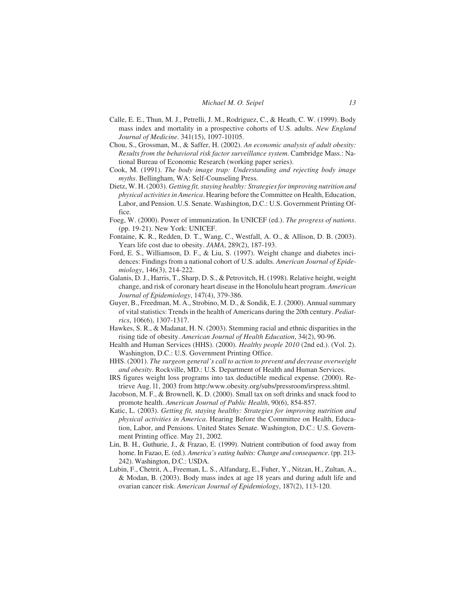- Calle, E. E., Thun, M. J., Petrelli, J. M., Rodriguez, C., & Heath, C. W. (1999). Body mass index and mortality in a prospective cohorts of U.S. adults. *New England Journal of Medicine*. 341(15), 1097-10105.
- Chou, S., Grossman, M., & Saffer, H. (2002). *An economic analysis of adult obesity: Results from the behavioral risk factor surveillance system*. Cambridge Mass.: National Bureau of Economic Research (working paper series).
- Cook, M. (1991). *The body image trap: Understanding and rejecting body image myths*. Bellingham, WA: Self-Counseling Press.
- Dietz, W. H. (2003). *Getting fit, staying healthy: Strategies for improving nutrition and physical activities in America*. Hearing before the Committee on Health, Education, Labor, and Pension. U.S. Senate. Washington, D.C.: U.S. Government Printing Office.
- Foeg, W. (2000). Power of immunization. In UNICEF (ed.). *The progress of nations*. (pp. 19-21). New York: UNICEF.
- Fontaine, K. R., Redden, D. T., Wang, C., Westfall, A. O., & Allison, D. B. (2003). Years life cost due to obesity. *JAMA*, 289(2), 187-193.
- Ford, E. S., Williamson, D. F., & Liu, S. (1997). Weight change and diabetes incidences: Findings from a national cohort of U.S. adults. *American Journal of Epidemiology*, 146(3), 214-222.
- Galanis, D. J., Harris, T., Sharp, D. S., & Petrovitch, H. (1998). Relative height, weight change, and risk of coronary heart disease in the Honolulu heart program. *American Journal of Epidemiology*, 147(4), 379-386.
- Guyer, B., Freedman, M. A., Strobino, M. D., & Sondik, E. J. (2000). Annual summary of vital statistics: Trends in the health of Americans during the 20th century. *Pediatrics*, 106(6), 1307-1317.
- Hawkes, S. R., & Madanat, H. N. (2003). Stemming racial and ethnic disparities in the rising tide of obesity. *American Journal of Health Education*, 34(2), 90-96.
- Health and Human Services (HHS). (2000). *Healthy people 2010* (2nd ed.). (Vol. 2). Washington, D.C.: U.S. Government Printing Office.
- HHS. (2001). *The surgeon general's call to action to prevent and decrease overweight and obesity*. Rockville, MD.: U.S. Department of Health and Human Services.
- IRS figures weight loss programs into tax deductible medical expense. (2000). Retrieve Aug. l1, 2003 from http:/www.obesity.org/subs/pressroom/irspress.shtml.
- Jacobson, M. F., & Brownell, K. D. (2000). Small tax on soft drinks and snack food to promote health. *American Journal of Public Health*, 90(6), 854-857.
- Katic, L. (2003). *Getting fit, staying healthy: Strategies for improving nutrition and physical activities in America*. Hearing Before the Committee on Health, Education, Labor, and Pensions. United States Senate. Washington, D.C.: U.S. Government Printing office. May 21, 2002.
- Lin, B. H., Guthurie, J., & Frazao, E. (1999). Nutrient contribution of food away from home. In Fazao, E. (ed.). *America's eating habits: Change and consequence*. (pp. 213- 242). Washington, D.C.: USDA.
- Lubin, F., Chetrit, A., Freeman, L. S., Alfandarg, E., Fuher, Y., Nitzan, H., Zultan, A., & Modan, B. (2003). Body mass index at age 18 years and during adult life and ovarian cancer risk. *American Journal of Epidemiology*, 187(2), 113-120.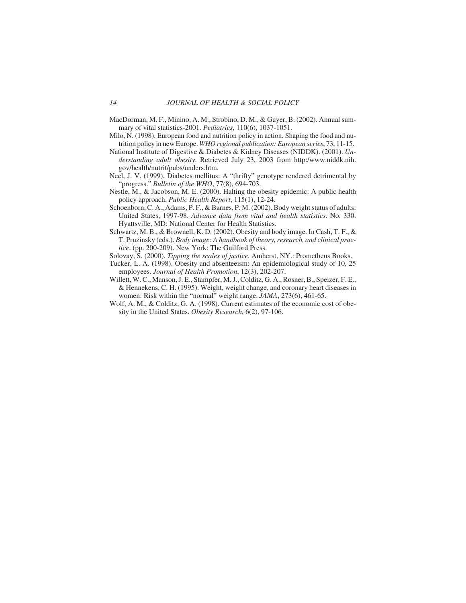- MacDorman, M. F., Minino, A. M., Strobino, D. M., & Guyer, B. (2002). Annual summary of vital statistics-2001. *Pediatrics*, 110(6), 1037-1051.
- Milo, N. (1998). European food and nutrition policy in action. Shaping the food and nutrition policy in new Europe. *WHO regional publication: European series*, 73, 11-15.
- National Institute of Digestive & Diabetes & Kidney Diseases (NIDDK). (2001). *Understanding adult obesity*. Retrieved July 23, 2003 from http:/www.niddk.nih. gov/health/nutrit/pubs/unders.htm.
- Neel, J. V. (1999). Diabetes mellitus: A "thrifty" genotype rendered detrimental by "progress." *Bulletin of the WHO*, 77(8), 694-703.
- Nestle, M., & Jacobson, M. E. (2000). Halting the obesity epidemic: A public health policy approach. *Public Health Report*, 115(1), 12-24.
- Schoenborn, C. A., Adams, P. F., & Barnes, P. M. (2002). Body weight status of adults: United States, 1997-98. *Advance data from vital and health statistics*. No. 330. Hyattsville, MD: National Center for Health Statistics.
- Schwartz, M. B., & Brownell, K. D. (2002). Obesity and body image. In Cash, T. F., & T. Pruzinsky (eds.). *Body image: A handbook of theory, research, and clinical practice*. (pp. 200-209). New York: The Guilford Press.

Solovay, S. (2000). *Tipping the scales of justice*. Amherst, NY.: Prometheus Books.

- Tucker, L. A. (1998). Obesity and absenteeism: An epidemiological study of 10, 25 employees. *Journal of Health Promotion*, 12(3), 202-207.
- Willett, W. C., Manson, J. E., Stampfer, M. J., Colditz, G. A., Rosner, B., Speizer, F. E., & Hennekens, C. H. (1995). Weight, weight change, and coronary heart diseases in women: Risk within the "normal" weight range. *JAMA*, 273(6), 461-65.
- Wolf, A. M., & Colditz, G. A. (1998). Current estimates of the economic cost of obesity in the United States. *Obesity Research*, 6(2), 97-106.